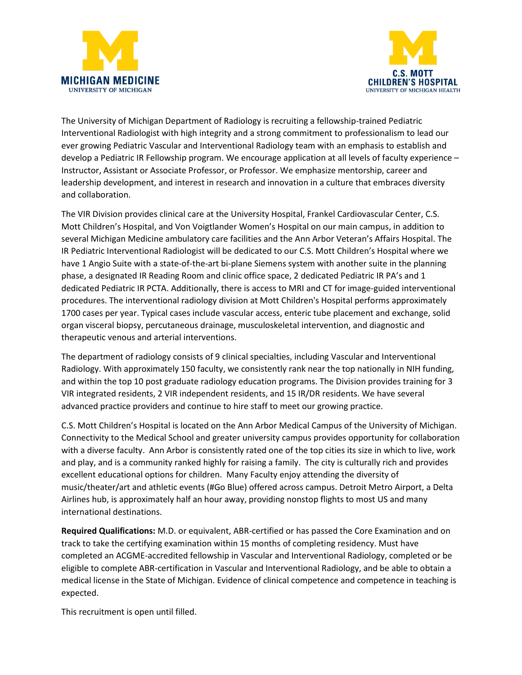



The University of Michigan Department of Radiology is recruiting a fellowship-trained Pediatric Interventional Radiologist with high integrity and a strong commitment to professionalism to lead our ever growing Pediatric Vascular and Interventional Radiology team with an emphasis to establish and develop a Pediatric IR Fellowship program. We encourage application at all levels of faculty experience – Instructor, Assistant or Associate Professor, or Professor. We emphasize mentorship, career and leadership development, and interest in research and innovation in a culture that embraces diversity and collaboration.

The VIR Division provides clinical care at the University Hospital, Frankel Cardiovascular Center, C.S. Mott Children's Hospital, and Von Voigtlander Women's Hospital on our main campus, in addition to several Michigan Medicine ambulatory care facilities and the Ann Arbor Veteran's Affairs Hospital. The IR Pediatric Interventional Radiologist will be dedicated to our C.S. Mott Children's Hospital where we have 1 Angio Suite with a state-of-the-art bi-plane Siemens system with another suite in the planning phase, a designated IR Reading Room and clinic office space, 2 dedicated Pediatric IR PA's and 1 dedicated Pediatric IR PCTA. Additionally, there is access to MRI and CT for image-guided interventional procedures. The interventional radiology division at Mott Children's Hospital performs approximately 1700 cases per year. Typical cases include vascular access, enteric tube placement and exchange, solid organ visceral biopsy, percutaneous drainage, musculoskeletal intervention, and diagnostic and therapeutic venous and arterial interventions.

The department of radiology consists of 9 clinical specialties, including Vascular and Interventional Radiology. With approximately 150 faculty, we consistently rank near the top nationally in NIH funding, and within the top 10 post graduate radiology education programs. The Division provides training for 3 VIR integrated residents, 2 VIR independent residents, and 15 IR/DR residents. We have several advanced practice providers and continue to hire staff to meet our growing practice.

C.S. Mott Children's Hospital is located on the Ann Arbor Medical Campus of the University of Michigan. Connectivity to the Medical School and greater university campus provides opportunity for collaboration with a diverse faculty. Ann Arbor is consistently rated one of the top cities its size in which to live, work and play, and is a community ranked highly for raising a family. The city is culturally rich and provides excellent educational options for children. Many Faculty enjoy attending the diversity of music/theater/art and athletic events (#Go Blue) offered across campus. Detroit Metro Airport, a Delta Airlines hub, is approximately half an hour away, providing nonstop flights to most US and many international destinations.

**Required Qualifications:** M.D. or equivalent, ABR-certified or has passed the Core Examination and on track to take the certifying examination within 15 months of completing residency. Must have completed an ACGME-accredited fellowship in Vascular and Interventional Radiology, completed or be eligible to complete ABR-certification in Vascular and Interventional Radiology, and be able to obtain a medical license in the State of Michigan. Evidence of clinical competence and competence in teaching is expected.

This recruitment is open until filled.